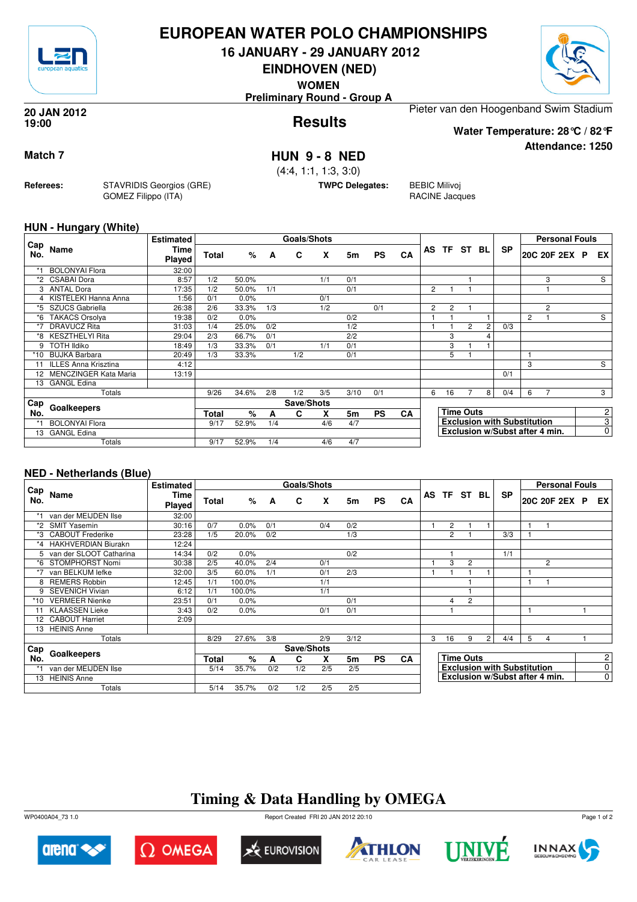

## **EUROPEAN WATER POLO CHAMPIONSHIPS**

**16 JANUARY - 29 JANUARY 2012**

**EINDHOVEN (NED)**

**WOMEN**

**Preliminary Round - Group A**

#### **Results 20 JAN 2012 19:00**

Pieter van den Hoogenband Swim Stadium

**Water Temperature: 28°C / 82°F**

**Attendance: 1250**

**Match 7 HUN 9 - 8 NED**

(4:4, 1:1, 1:3, 3:0)

**TWPC Delegates:** BEBIC Milivoj

RACINE Jacques

#### **HUN - Hungary (White)**

**Referees:** STAVRIDIS Georgios (GRE)

GOMEZ Filippo (ITA)

| Cap |                             | <b>Estimated</b> |              |       |     | <b>Goals/Shots</b> |     |      |           |           |                |                |                  |   |                                    |   | <b>Personal Fouls</b>          |                |
|-----|-----------------------------|------------------|--------------|-------|-----|--------------------|-----|------|-----------|-----------|----------------|----------------|------------------|---|------------------------------------|---|--------------------------------|----------------|
| No. | Name                        | Time<br>Played   | Total        | %     | A   | C                  | X   | 5m   | <b>PS</b> | <b>CA</b> | AS             |                | TF ST BL         |   | <b>SP</b>                          |   | 20C 20F 2EX P                  | EX             |
| *1  | <b>BOLONYAl Flora</b>       | 32:00            |              |       |     |                    |     |      |           |           |                |                |                  |   |                                    |   |                                |                |
|     | <b>CSABAI Dora</b>          | 8:57             | 1/2          | 50.0% |     |                    | 1/1 | 0/1  |           |           |                |                |                  |   |                                    |   | 3                              | S              |
| 3   | ANTAL Dora                  | 17:35            | 1/2          | 50.0% | 1/1 |                    |     | 0/1  |           |           | $\overline{2}$ |                |                  |   |                                    |   |                                |                |
|     | 4 KISTELEKI Hanna Anna      | 1:56             | 0/1          | 0.0%  |     |                    | 0/1 |      |           |           |                |                |                  |   |                                    |   |                                |                |
| *5  | SZUCS Gabriella             | 26:38            | 2/6          | 33.3% | 1/3 |                    | 1/2 |      | 0/1       |           | $\overline{2}$ | $\overline{2}$ |                  |   |                                    |   | $\overline{c}$                 |                |
| *6  | <b>TAKACS Orsolya</b>       | 19:38            | 0/2          | 0.0%  |     |                    |     | 0/2  |           |           |                |                |                  |   |                                    | 2 |                                | S              |
| *7  | <b>DRAVUCZ Rita</b>         | 31:03            | 1/4          | 25.0% | 0/2 |                    |     | 1/2  |           |           |                |                | $\overline{2}$   | 2 | 0/3                                |   |                                |                |
| *8  | <b>KESZTHELYI Rita</b>      | 29:04            | 2/3          | 66.7% | 0/1 |                    |     | 2/2  |           |           |                | 3              |                  | 4 |                                    |   |                                |                |
| 9   | <b>TOTH Ildiko</b>          | 18:49            | 1/3          | 33.3% | 0/1 |                    | 1/1 | 0/1  |           |           |                | 3              |                  |   |                                    |   |                                |                |
| *10 | <b>BUJKA Barbara</b>        | 20:49            | 1/3          | 33.3% |     | 1/2                |     | 0/1  |           |           |                | 5              |                  |   |                                    |   |                                |                |
| 11  | <b>ILLES Anna Krisztina</b> | 4:12             |              |       |     |                    |     |      |           |           |                |                |                  |   |                                    | 3 |                                | S              |
| 12  | MENCZINGER Kata Maria       | 13:19            |              |       |     |                    |     |      |           |           |                |                |                  |   | 0/1                                |   |                                |                |
| 13  | <b>GANGL Edina</b>          |                  |              |       |     |                    |     |      |           |           |                |                |                  |   |                                    |   |                                |                |
|     | Totals                      |                  | 9/26         | 34.6% | 2/8 | 1/2                | 3/5 | 3/10 | 0/1       |           | 6              | 16             |                  | 8 | 0/4                                | 6 |                                | 3              |
| Cap | Goalkeepers                 |                  |              |       |     | Save/Shots         |     |      |           |           |                |                |                  |   |                                    |   |                                |                |
| No. |                             |                  | <b>Total</b> | %     | A   | C                  | X   | 5m   | <b>PS</b> | CA        |                |                | <b>Time Outs</b> |   |                                    |   |                                | 2              |
|     | <b>BOLONYAl Flora</b>       |                  | 9/17         | 52.9% | 1/4 |                    | 4/6 | 4/7  |           |           |                |                |                  |   | <b>Exclusion with Substitution</b> |   |                                | $\overline{3}$ |
| 13  | <b>GANGL Edina</b>          |                  |              |       |     |                    |     |      |           |           |                |                |                  |   |                                    |   | Exclusion w/Subst after 4 min. | $\overline{0}$ |
|     | Totals                      |                  | 9/17         | 52.9% | 1/4 |                    | 4/6 | 4/7  |           |           |                |                |                  |   |                                    |   |                                |                |

### **NED - Netherlands (Blue)**

|            |                           | <b>Estimated</b>      |       |        |     | Goals/Shots |     |      |           |           |   |                |                  |                |                                    |              | <b>Personal Fouls</b>          |  |                |
|------------|---------------------------|-----------------------|-------|--------|-----|-------------|-----|------|-----------|-----------|---|----------------|------------------|----------------|------------------------------------|--------------|--------------------------------|--|----------------|
| Cap<br>No. | Name                      | Time<br><b>Played</b> | Total | %      | A   | C           | X   | 5m   | <b>PS</b> | CA        |   | AS TF ST BL    |                  |                | <b>SP</b>                          |              | 20C 20F 2EX P                  |  | EX I           |
|            | van der MEIJDEN Ilse      | 32:00                 |       |        |     |             |     |      |           |           |   |                |                  |                |                                    |              |                                |  |                |
| *2         | <b>SMIT Yasemin</b>       | 30:16                 | 0/7   | 0.0%   | 0/1 |             | 0/4 | 0/2  |           |           |   | $\overline{2}$ |                  |                |                                    | $\mathbf{1}$ |                                |  |                |
| *3         | <b>CABOUT Frederike</b>   | 23:28                 | 1/5   | 20.0%  | 0/2 |             |     | 1/3  |           |           |   | 2              |                  |                | 3/3                                |              |                                |  |                |
|            | *4 HAKHVERDIAN Biurakn    | 12:24                 |       |        |     |             |     |      |           |           |   |                |                  |                |                                    |              |                                |  |                |
|            | 5 van der SLOOT Catharina | 14:34                 | 0/2   | 0.0%   |     |             |     | 0/2  |           |           |   |                |                  |                | 1/1                                |              |                                |  |                |
| *6         | STOMPHORST Nomi           | 30:38                 | 2/5   | 40.0%  | 2/4 |             | 0/1 |      |           |           |   | 3              | $\overline{c}$   |                |                                    |              | $\overline{2}$                 |  |                |
| *7         | van BELKUM lefke          | 32:00                 | 3/5   | 60.0%  | 1/1 |             | 0/1 | 2/3  |           |           |   |                |                  |                |                                    | 1            |                                |  |                |
| 8          | <b>REMERS Robbin</b>      | 12:45                 | 1/1   | 100.0% |     |             | 1/1 |      |           |           |   |                |                  |                |                                    | 1            |                                |  |                |
| 9          | <b>SEVENICH Vivian</b>    | 6:12                  | 1/1   | 100.0% |     |             | 1/1 |      |           |           |   |                |                  |                |                                    |              |                                |  |                |
| *10        | <b>VERMEER Nienke</b>     | 23:51                 | 0/1   | 0.0%   |     |             |     | 0/1  |           |           |   | 4              | $\overline{2}$   |                |                                    |              |                                |  |                |
|            | <b>KLAASSEN Lieke</b>     | 3:43                  | 0/2   | 0.0%   |     |             | 0/1 | 0/1  |           |           |   |                |                  |                |                                    | 1            |                                |  |                |
|            | 12 CABOUT Harriet         | 2:09                  |       |        |     |             |     |      |           |           |   |                |                  |                |                                    |              |                                |  |                |
| 13         | <b>HEINIS Anne</b>        |                       |       |        |     |             |     |      |           |           |   |                |                  |                |                                    |              |                                |  |                |
|            | Totals                    |                       | 8/29  | 27.6%  | 3/8 |             | 2/9 | 3/12 |           |           | 3 | 16             | 9                | $\overline{2}$ | 4/4                                | 5            | $\overline{4}$                 |  |                |
| ⊩Cap       |                           |                       |       |        |     | Save/Shots  |     |      |           |           |   |                |                  |                |                                    |              |                                |  |                |
| No.        | Goalkeepers               |                       | Total | %      | A   | C           | x   | 5m   | <b>PS</b> | <b>CA</b> |   |                | <b>Time Outs</b> |                |                                    |              |                                |  | $\mathbf{2}$   |
|            | van der MEIJDEN Ilse      |                       | 5/14  | 35.7%  | 0/2 | 1/2         | 2/5 | 2/5  |           |           |   |                |                  |                | <b>Exclusion with Substitution</b> |              |                                |  | $\overline{0}$ |
|            | 13 HEINIS Anne            |                       |       |        |     |             |     |      |           |           |   |                |                  |                |                                    |              | Exclusion w/Subst after 4 min. |  | $\overline{0}$ |
|            | Totals                    |                       | 5/14  | 35.7%  | 0/2 | 1/2         | 2/5 | 2/5  |           |           |   |                |                  |                |                                    |              |                                |  |                |

# **Timing & Data Handling by OMEGA**

WP0400A04\_73 1.0 Report Created FRI 20 JAN 2012 20:10